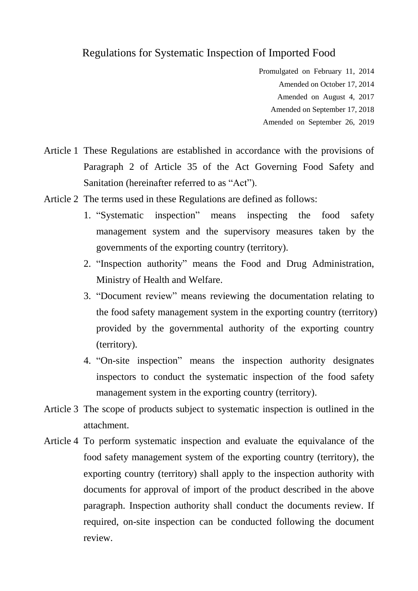## Regulations for Systematic Inspection of Imported Food

- Promulgated on February 11, 2014
	- Amended on October 17, 2014
	- Amended on August 4, 2017
	- Amended on September 17, 2018
	- Amended on September 26, 2019
- Article 1 These Regulations are established in accordance with the provisions of Paragraph 2 of Article 35 of the Act Governing Food Safety and Sanitation (hereinafter referred to as "Act").
- Article 2 The terms used in these Regulations are defined as follows:
	- 1. "Systematic inspection" means inspecting the food safety management system and the supervisory measures taken by the governments of the exporting country (territory).
	- 2. "Inspection authority" means the Food and Drug Administration, Ministry of Health and Welfare.
	- 3. "Document review" means reviewing the documentation relating to the food safety management system in the exporting country (territory) provided by the governmental authority of the exporting country (territory).
	- 4. "On-site inspection" means the inspection authority designates inspectors to conduct the systematic inspection of the food safety management system in the exporting country (territory).
- Article 3 The scope of products subject to systematic inspection is outlined in the attachment.
- Article 4 To perform systematic inspection and evaluate the equivalance of the food safety management system of the exporting country (territory), the exporting country (territory) shall apply to the inspection authority with documents for approval of import of the product described in the above paragraph. Inspection authority shall conduct the documents review. If required, on-site inspection can be conducted following the document review.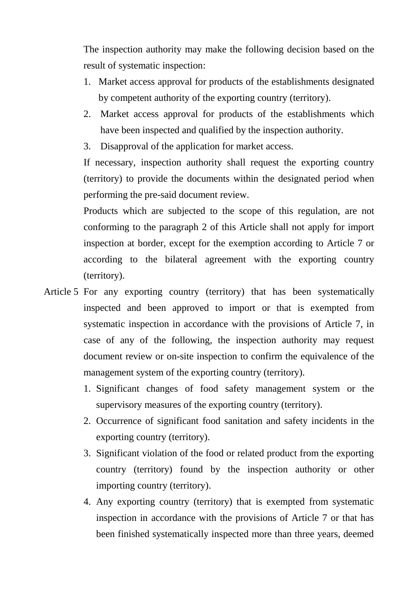The inspection authority may make the following decision based on the result of systematic inspection:

- 1. Market access approval for products of the establishments designated by competent authority of the exporting country (territory).
- 2. Market access approval for products of the establishments which have been inspected and qualified by the inspection authority.
- 3. Disapproval of the application for market access.

If necessary, inspection authority shall request the exporting country (territory) to provide the documents within the designated period when performing the pre-said document review.

Products which are subjected to the scope of this regulation, are not conforming to the paragraph 2 of this Article shall not apply for import inspection at border, except for the exemption according to Article 7 or according to the bilateral agreement with the exporting country (territory).

- Article 5 For any exporting country (territory) that has been systematically inspected and been approved to import or that is exempted from systematic inspection in accordance with the provisions of Article 7, in case of any of the following, the inspection authority may request document review or on-site inspection to confirm the equivalence of the management system of the exporting country (territory).
	- 1. Significant changes of food safety management system or the supervisory measures of the exporting country (territory).
	- 2. Occurrence of significant food sanitation and safety incidents in the exporting country (territory).
	- 3. Significant violation of the food or related product from the exporting country (territory) found by the inspection authority or other importing country (territory).
	- 4. Any exporting country (territory) that is exempted from systematic inspection in accordance with the provisions of Article 7 or that has been finished systematically inspected more than three years, deemed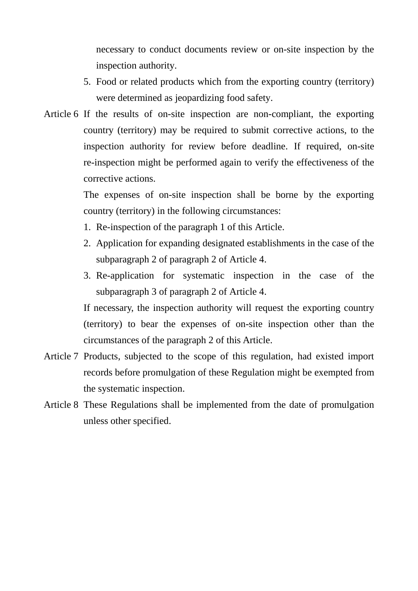necessary to conduct documents review or on-site inspection by the inspection authority.

- 5. Food or related products which from the exporting country (territory) were determined as jeopardizing food safety.
- Article 6 If the results of on-site inspection are non-compliant, the exporting country (territory) may be required to submit corrective actions, to the inspection authority for review before deadline. If required, on-site re-inspection might be performed again to verify the effectiveness of the corrective actions.

The expenses of on-site inspection shall be borne by the exporting country (territory) in the following circumstances:

- 1. Re-inspection of the paragraph 1 of this Article.
- 2. Application for expanding designated establishments in the case of the subparagraph 2 of paragraph 2 of Article 4.
- 3. Re-application for systematic inspection in the case of the subparagraph 3 of paragraph 2 of Article 4.

If necessary, the inspection authority will request the exporting country (territory) to bear the expenses of on-site inspection other than the circumstances of the paragraph 2 of this Article.

- Article 7 Products, subjected to the scope of this regulation, had existed import records before promulgation of these Regulation might be exempted from the systematic inspection.
- Article 8 These Regulations shall be implemented from the date of promulgation unless other specified.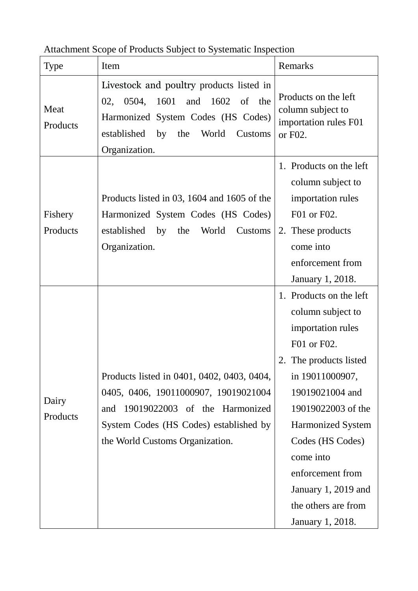| Type                | Item                                                                                                                                                                                                    | Remarks                                                                                                                                                                                                                                                                                                                |  |
|---------------------|---------------------------------------------------------------------------------------------------------------------------------------------------------------------------------------------------------|------------------------------------------------------------------------------------------------------------------------------------------------------------------------------------------------------------------------------------------------------------------------------------------------------------------------|--|
| Meat<br>Products    | Livestock and poultry products listed in<br>0504,<br>1601<br>and<br>1602<br>of the<br>02,<br>Harmonized System Codes (HS Codes)<br>established by<br>the<br>World<br>Customs<br>Organization.           | Products on the left<br>column subject to<br>importation rules F01<br>or F02.                                                                                                                                                                                                                                          |  |
| Fishery<br>Products | Products listed in 03, 1604 and 1605 of the<br>Harmonized System Codes (HS Codes)<br>established by<br>the<br>World<br>Customs<br>Organization.                                                         | 1. Products on the left<br>column subject to<br>importation rules<br>F01 or F02.<br>2. These products<br>come into<br>enforcement from<br>January 1, 2018.                                                                                                                                                             |  |
| Dairy<br>Products   | Products listed in 0401, 0402, 0403, 0404,<br>0405, 0406, 19011000907, 19019021004<br>19019022003 of the Harmonized<br>and<br>System Codes (HS Codes) established by<br>the World Customs Organization. | 1. Products on the left<br>column subject to<br>importation rules<br>F01 or F02.<br>The products listed<br>in 19011000907,<br>19019021004 and<br>19019022003 of the<br><b>Harmonized System</b><br>Codes (HS Codes)<br>come into<br>enforcement from<br>January 1, 2019 and<br>the others are from<br>January 1, 2018. |  |

Attachment Scope of Products Subject to Systematic Inspection